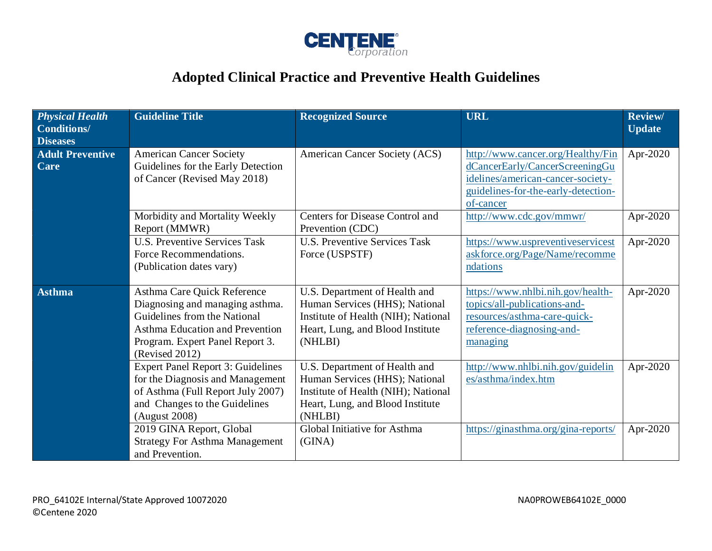

## **Adopted Clinical Practice and Preventive Health Guidelines**

| <b>Physical Health</b><br><b>Conditions/</b><br><b>Diseases</b> | <b>Guideline Title</b>                                                                                                                                                                 | <b>Recognized Source</b>                                                                                                                              | <b>URL</b>                                                                                                                                                   | <b>Review/</b><br><b>Update</b> |
|-----------------------------------------------------------------|----------------------------------------------------------------------------------------------------------------------------------------------------------------------------------------|-------------------------------------------------------------------------------------------------------------------------------------------------------|--------------------------------------------------------------------------------------------------------------------------------------------------------------|---------------------------------|
| <b>Adult Preventive</b><br>Care                                 | <b>American Cancer Society</b><br>Guidelines for the Early Detection<br>of Cancer (Revised May 2018)                                                                                   | American Cancer Society (ACS)                                                                                                                         | http://www.cancer.org/Healthy/Fin<br>dCancerEarly/CancerScreeningGu<br>idelines/american-cancer-society-<br>guidelines-for-the-early-detection-<br>of-cancer | Apr-2020                        |
|                                                                 | Morbidity and Mortality Weekly<br>Report (MMWR)                                                                                                                                        | Centers for Disease Control and<br>Prevention (CDC)                                                                                                   | http://www.cdc.gov/mmwr/                                                                                                                                     | Apr-2020                        |
|                                                                 | <b>U.S. Preventive Services Task</b><br>Force Recommendations.<br>(Publication dates vary)                                                                                             | <b>U.S. Preventive Services Task</b><br>Force (USPSTF)                                                                                                | https://www.uspreventiveservicest<br>askforce.org/Page/Name/recomme<br>ndations                                                                              | Apr-2020                        |
| <b>Asthma</b>                                                   | Asthma Care Quick Reference<br>Diagnosing and managing asthma.<br>Guidelines from the National<br>Asthma Education and Prevention<br>Program. Expert Panel Report 3.<br>(Revised 2012) | U.S. Department of Health and<br>Human Services (HHS); National<br>Institute of Health (NIH); National<br>Heart, Lung, and Blood Institute<br>(NHLBI) | https://www.nhlbi.nih.gov/health-<br>topics/all-publications-and-<br>resources/asthma-care-quick-<br>reference-diagnosing-and-<br>managing                   | Apr-2020                        |
|                                                                 | <b>Expert Panel Report 3: Guidelines</b><br>for the Diagnosis and Management<br>of Asthma (Full Report July 2007)<br>and Changes to the Guidelines<br>(August 2008)                    | U.S. Department of Health and<br>Human Services (HHS); National<br>Institute of Health (NIH); National<br>Heart, Lung, and Blood Institute<br>(NHLBI) | http://www.nhlbi.nih.gov/guidelin<br>es/asthma/index.htm                                                                                                     | Apr-2020                        |
|                                                                 | 2019 GINA Report, Global<br><b>Strategy For Asthma Management</b><br>and Prevention.                                                                                                   | Global Initiative for Asthma<br>(GINA)                                                                                                                | https://ginasthma.org/gina-reports/                                                                                                                          | Apr-2020                        |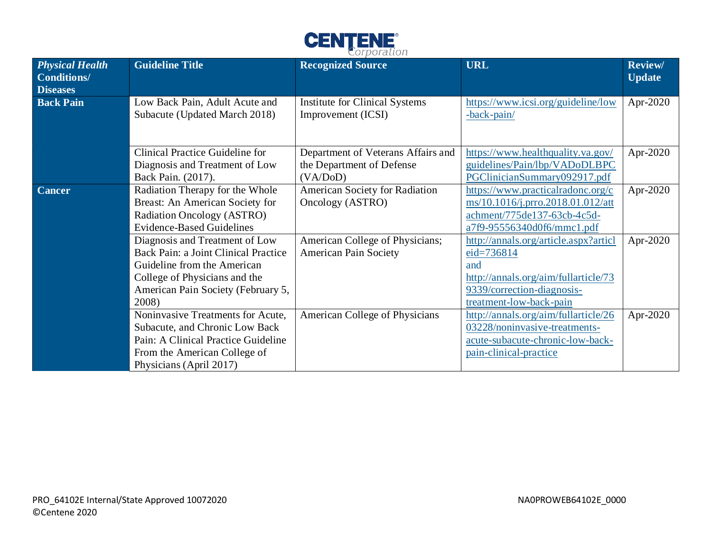

| <b>Physical Health</b><br><b>Conditions/</b><br><b>Diseases</b> | <b>Guideline Title</b>                                                                                                                                                                | <b>Recognized Source</b>                                                    | <b>URL</b>                                                                                                                                                      | <b>Review/</b><br><b>Update</b> |
|-----------------------------------------------------------------|---------------------------------------------------------------------------------------------------------------------------------------------------------------------------------------|-----------------------------------------------------------------------------|-----------------------------------------------------------------------------------------------------------------------------------------------------------------|---------------------------------|
| <b>Back Pain</b>                                                | Low Back Pain, Adult Acute and<br>Subacute (Updated March 2018)                                                                                                                       | <b>Institute for Clinical Systems</b><br>Improvement (ICSI)                 | https://www.icsi.org/guideline/low<br>-back-pain/                                                                                                               | Apr-2020                        |
|                                                                 | Clinical Practice Guideline for<br>Diagnosis and Treatment of Low<br>Back Pain. (2017).                                                                                               | Department of Veterans Affairs and<br>the Department of Defense<br>(VA/DoD) | https://www.healthquality.va.gov/<br>guidelines/Pain/lbp/VADoDLBPC<br>PGClinicianSummary092917.pdf                                                              | Apr-2020                        |
| <b>Cancer</b>                                                   | Radiation Therapy for the Whole<br>Breast: An American Society for<br>Radiation Oncology (ASTRO)<br><b>Evidence-Based Guidelines</b>                                                  | American Society for Radiation<br>Oncology (ASTRO)                          | https://www.practicalradonc.org/c<br>ms/10.1016/j.prro.2018.01.012/att<br>achment/775de137-63cb-4c5d-<br>a7f9-95556340d0f6/mmc1.pdf                             | Apr-2020                        |
|                                                                 | Diagnosis and Treatment of Low<br>Back Pain: a Joint Clinical Practice<br>Guideline from the American<br>College of Physicians and the<br>American Pain Society (February 5,<br>2008) | American College of Physicians;<br><b>American Pain Society</b>             | http://annals.org/article.aspx?articl<br>$eid = 736814$<br>and<br>http://annals.org/aim/fullarticle/73<br>9339/correction-diagnosis-<br>treatment-low-back-pain | Apr-2020                        |
|                                                                 | Noninvasive Treatments for Acute,<br>Subacute, and Chronic Low Back<br>Pain: A Clinical Practice Guideline<br>From the American College of<br>Physicians (April 2017)                 | American College of Physicians                                              | http://annals.org/aim/fullarticle/26<br>03228/noninvasive-treatments-<br>acute-subacute-chronic-low-back-<br>pain-clinical-practice                             | Apr-2020                        |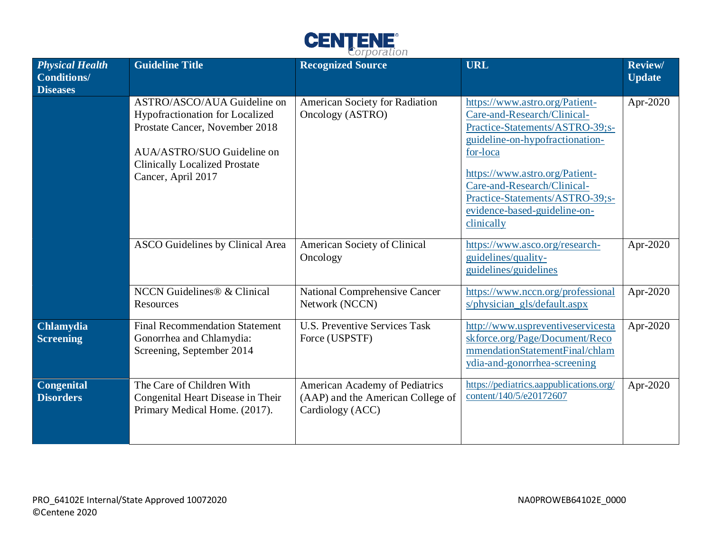

| <b>Physical Health</b><br><b>Conditions/</b><br><b>Diseases</b> | <b>Guideline Title</b>                                                                                                                                                                       | <b>Recognized Source</b>                                                                | <b>URL</b>                                                                                                                                                                                                                                                                                        | <b>Review/</b><br><b>Update</b> |
|-----------------------------------------------------------------|----------------------------------------------------------------------------------------------------------------------------------------------------------------------------------------------|-----------------------------------------------------------------------------------------|---------------------------------------------------------------------------------------------------------------------------------------------------------------------------------------------------------------------------------------------------------------------------------------------------|---------------------------------|
|                                                                 | ASTRO/ASCO/AUA Guideline on<br>Hypofractionation for Localized<br>Prostate Cancer, November 2018<br>AUA/ASTRO/SUO Guideline on<br><b>Clinically Localized Prostate</b><br>Cancer, April 2017 | American Society for Radiation<br>Oncology (ASTRO)                                      | https://www.astro.org/Patient-<br>Care-and-Research/Clinical-<br>Practice-Statements/ASTRO-39;s-<br>guideline-on-hypofractionation-<br>for-loca<br>https://www.astro.org/Patient-<br>Care-and-Research/Clinical-<br>Practice-Statements/ASTRO-39;s-<br>evidence-based-guideline-on-<br>clinically | Apr-2020                        |
|                                                                 | ASCO Guidelines by Clinical Area                                                                                                                                                             | American Society of Clinical<br>Oncology                                                | https://www.asco.org/research-<br>guidelines/quality-<br>guidelines/guidelines                                                                                                                                                                                                                    | Apr-2020                        |
|                                                                 | NCCN Guidelines® & Clinical<br>Resources                                                                                                                                                     | <b>National Comprehensive Cancer</b><br>Network (NCCN)                                  | https://www.nccn.org/professional<br>s/physician_gls/default.aspx                                                                                                                                                                                                                                 | Apr-2020                        |
| <b>Chlamydia</b><br><b>Screening</b>                            | <b>Final Recommendation Statement</b><br>Gonorrhea and Chlamydia:<br>Screening, September 2014                                                                                               | <b>U.S. Preventive Services Task</b><br>Force (USPSTF)                                  | http://www.uspreventiveservicesta<br>skforce.org/Page/Document/Reco<br>mmendationStatementFinal/chlam<br>ydia-and-gonorrhea-screening                                                                                                                                                             | Apr-2020                        |
| <b>Congenital</b><br><b>Disorders</b>                           | The Care of Children With<br>Congenital Heart Disease in Their<br>Primary Medical Home. (2017).                                                                                              | American Academy of Pediatrics<br>(AAP) and the American College of<br>Cardiology (ACC) | https://pediatrics.aappublications.org/<br>content/140/5/e20172607                                                                                                                                                                                                                                | Apr-2020                        |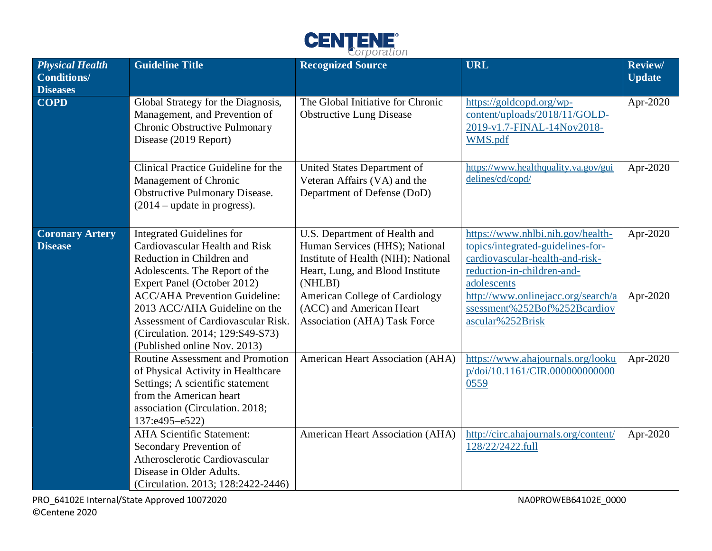

| <b>Physical Health</b><br><b>Conditions/</b><br><b>Diseases</b> | <b>Guideline Title</b>                                                                                                                                                                                                                                                                                                                              | <b>Recognized Source</b>                                                                                                                                                                                                                            | <b>URL</b>                                                                                                                                                                                                                                       | Review/<br><b>Update</b> |
|-----------------------------------------------------------------|-----------------------------------------------------------------------------------------------------------------------------------------------------------------------------------------------------------------------------------------------------------------------------------------------------------------------------------------------------|-----------------------------------------------------------------------------------------------------------------------------------------------------------------------------------------------------------------------------------------------------|--------------------------------------------------------------------------------------------------------------------------------------------------------------------------------------------------------------------------------------------------|--------------------------|
| $\overline{\mathbf{COPD}}$                                      | Global Strategy for the Diagnosis,<br>Management, and Prevention of<br>Chronic Obstructive Pulmonary<br>Disease (2019 Report)                                                                                                                                                                                                                       | The Global Initiative for Chronic<br><b>Obstructive Lung Disease</b>                                                                                                                                                                                | https://goldcopd.org/wp-<br>content/uploads/2018/11/GOLD-<br>2019-v1.7-FINAL-14Nov2018-<br>WMS.pdf                                                                                                                                               | Apr-2020                 |
|                                                                 | Clinical Practice Guideline for the<br>Management of Chronic<br><b>Obstructive Pulmonary Disease.</b><br>$(2014 - update in progress).$                                                                                                                                                                                                             | United States Department of<br>Veteran Affairs (VA) and the<br>Department of Defense (DoD)                                                                                                                                                          | https://www.healthquality.va.gov/gui<br>delines/cd/copd/                                                                                                                                                                                         | Apr-2020                 |
| <b>Coronary Artery</b><br><b>Disease</b>                        | <b>Integrated Guidelines for</b><br>Cardiovascular Health and Risk<br>Reduction in Children and<br>Adolescents. The Report of the<br>Expert Panel (October 2012)<br><b>ACC/AHA Prevention Guideline:</b><br>2013 ACC/AHA Guideline on the<br>Assessment of Cardiovascular Risk.<br>(Circulation. 2014; 129:S49-S73)<br>(Published online Nov. 2013) | U.S. Department of Health and<br>Human Services (HHS); National<br>Institute of Health (NIH); National<br>Heart, Lung, and Blood Institute<br>(NHLBI)<br>American College of Cardiology<br>(ACC) and American Heart<br>Association (AHA) Task Force | https://www.nhlbi.nih.gov/health-<br>topics/integrated-guidelines-for-<br>cardiovascular-health-and-risk-<br>reduction-in-children-and-<br>adolescents<br>http://www.onlinejacc.org/search/a<br>ssessment%252Bof%252Bcardiov<br>ascular%252Brisk | Apr-2020<br>Apr-2020     |
|                                                                 | Routine Assessment and Promotion<br>of Physical Activity in Healthcare<br>Settings; A scientific statement<br>from the American heart<br>association (Circulation. 2018;<br>137:e495-e522)                                                                                                                                                          | American Heart Association (AHA)                                                                                                                                                                                                                    | https://www.ahajournals.org/looku<br>p/doi/10.1161/CIR.000000000000<br>0559                                                                                                                                                                      | Apr-2020                 |
|                                                                 | <b>AHA Scientific Statement:</b><br>Secondary Prevention of<br>Atherosclerotic Cardiovascular<br>Disease in Older Adults.<br>(Circulation. 2013; 128:2422-2446)                                                                                                                                                                                     | American Heart Association (AHA)                                                                                                                                                                                                                    | http://circ.ahajournals.org/content/<br>128/22/2422.full                                                                                                                                                                                         | Apr-2020                 |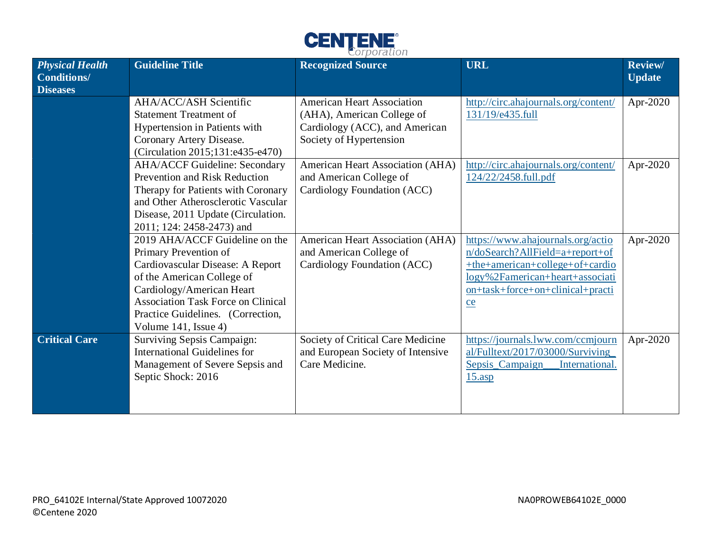

|                                                                 |                                                                                                                                                                                                                                                                  | $\omega$ , porduction                                                                                                        |                                                                                                                                                                                        |                                 |
|-----------------------------------------------------------------|------------------------------------------------------------------------------------------------------------------------------------------------------------------------------------------------------------------------------------------------------------------|------------------------------------------------------------------------------------------------------------------------------|----------------------------------------------------------------------------------------------------------------------------------------------------------------------------------------|---------------------------------|
| <b>Physical Health</b><br><b>Conditions/</b><br><b>Diseases</b> | <b>Guideline Title</b>                                                                                                                                                                                                                                           | <b>Recognized Source</b>                                                                                                     | <b>URL</b>                                                                                                                                                                             | <b>Review/</b><br><b>Update</b> |
|                                                                 | AHA/ACC/ASH Scientific<br><b>Statement Treatment of</b><br>Hypertension in Patients with<br>Coronary Artery Disease.<br>(Circulation 2015;131:e435-e470)                                                                                                         | <b>American Heart Association</b><br>(AHA), American College of<br>Cardiology (ACC), and American<br>Society of Hypertension | http://circ.ahajournals.org/content/<br>131/19/e435.full                                                                                                                               | Apr-2020                        |
|                                                                 | <b>AHA/ACCF Guideline: Secondary</b><br>Prevention and Risk Reduction<br>Therapy for Patients with Coronary<br>and Other Atherosclerotic Vascular<br>Disease, 2011 Update (Circulation.<br>2011; 124: 2458-2473) and                                             | American Heart Association (AHA)<br>and American College of<br>Cardiology Foundation (ACC)                                   | http://circ.ahajournals.org/content/<br>124/22/2458.full.pdf                                                                                                                           | Apr-2020                        |
|                                                                 | 2019 AHA/ACCF Guideline on the<br>Primary Prevention of<br>Cardiovascular Disease: A Report<br>of the American College of<br>Cardiology/American Heart<br><b>Association Task Force on Clinical</b><br>Practice Guidelines. (Correction,<br>Volume 141, Issue 4) | American Heart Association (AHA)<br>and American College of<br>Cardiology Foundation (ACC)                                   | https://www.ahajournals.org/actio<br>n/doSearch?AllField=a+report+of<br>+the+american+college+of+cardio<br>logy%2Famerican+heart+associati<br>on+task+force+on+clinical+practi<br>$ce$ | Apr-2020                        |
| <b>Critical Care</b>                                            | Surviving Sepsis Campaign:<br><b>International Guidelines for</b><br>Management of Severe Sepsis and<br>Septic Shock: 2016                                                                                                                                       | Society of Critical Care Medicine<br>and European Society of Intensive<br>Care Medicine.                                     | https://journals.lww.com/ccmjourn<br>al/Fulltext/2017/03000/Surviving<br>Sepsis Campaign<br>International.<br>$15 \text{.asp}$                                                         | Apr-2020                        |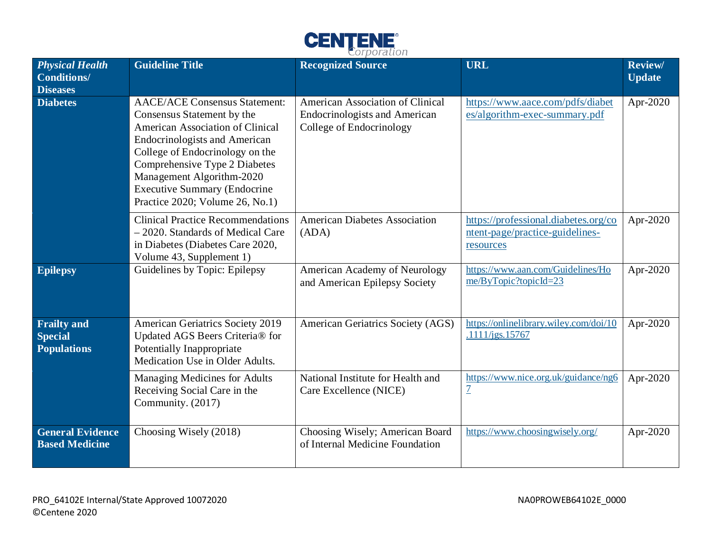

| <b>Physical Health</b><br><b>Conditions/</b><br><b>Diseases</b> | <b>Guideline Title</b>                                                                                                                                                                                                                                                                                                    | <b>Recognized Source</b>                                                                             | <b>URL</b>                                                                           | <b>Review/</b><br><b>Update</b> |
|-----------------------------------------------------------------|---------------------------------------------------------------------------------------------------------------------------------------------------------------------------------------------------------------------------------------------------------------------------------------------------------------------------|------------------------------------------------------------------------------------------------------|--------------------------------------------------------------------------------------|---------------------------------|
| <b>Diabetes</b>                                                 | <b>AACE/ACE Consensus Statement:</b><br>Consensus Statement by the<br>American Association of Clinical<br><b>Endocrinologists and American</b><br>College of Endocrinology on the<br>Comprehensive Type 2 Diabetes<br>Management Algorithm-2020<br><b>Executive Summary (Endocrine</b><br>Practice 2020; Volume 26, No.1) | American Association of Clinical<br><b>Endocrinologists and American</b><br>College of Endocrinology | https://www.aace.com/pdfs/diabet<br>es/algorithm-exec-summary.pdf                    | Apr-2020                        |
|                                                                 | <b>Clinical Practice Recommendations</b><br>- 2020. Standards of Medical Care<br>in Diabetes (Diabetes Care 2020,<br>Volume 43, Supplement 1)                                                                                                                                                                             | <b>American Diabetes Association</b><br>(ADA)                                                        | https://professional.diabetes.org/co<br>ntent-page/practice-guidelines-<br>resources | Apr-2020                        |
| <b>Epilepsy</b>                                                 | Guidelines by Topic: Epilepsy                                                                                                                                                                                                                                                                                             | American Academy of Neurology<br>and American Epilepsy Society                                       | https://www.aan.com/Guidelines/Ho<br>me/ByTopic?topicId=23                           | Apr-2020                        |
| <b>Frailty and</b><br><b>Special</b><br><b>Populations</b>      | <b>American Geriatrics Society 2019</b><br>Updated AGS Beers Criteria® for<br>Potentially Inappropriate<br>Medication Use in Older Adults.                                                                                                                                                                                | American Geriatrics Society (AGS)                                                                    | https://onlinelibrary.wiley.com/doi/10<br>.1111/jgs.15767                            | Apr-2020                        |
|                                                                 | Managing Medicines for Adults<br>Receiving Social Care in the<br>Community. (2017)                                                                                                                                                                                                                                        | National Institute for Health and<br>Care Excellence (NICE)                                          | https://www.nice.org.uk/guidance/ng6<br>$\overline{1}$                               | Apr-2020                        |
| <b>General Evidence</b><br><b>Based Medicine</b>                | Choosing Wisely (2018)                                                                                                                                                                                                                                                                                                    | Choosing Wisely; American Board<br>of Internal Medicine Foundation                                   | https://www.choosingwisely.org/                                                      | Apr-2020                        |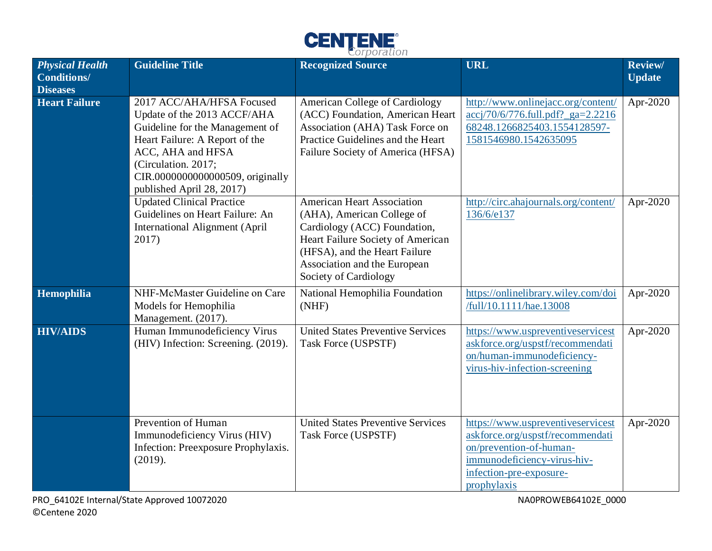

| <b>Physical Health</b><br><b>Conditions/</b> | <b>Guideline Title</b>                                                                                                                                                                                                                     | $C$ , por autori<br><b>Recognized Source</b>                                                                                                                                                                                   | <b>URL</b>                                                                                                                                                                | Review/<br><b>Update</b> |
|----------------------------------------------|--------------------------------------------------------------------------------------------------------------------------------------------------------------------------------------------------------------------------------------------|--------------------------------------------------------------------------------------------------------------------------------------------------------------------------------------------------------------------------------|---------------------------------------------------------------------------------------------------------------------------------------------------------------------------|--------------------------|
| <b>Diseases</b><br><b>Heart Failure</b>      | 2017 ACC/AHA/HFSA Focused<br>Update of the 2013 ACCF/AHA<br>Guideline for the Management of<br>Heart Failure: A Report of the<br>ACC, AHA and HFSA<br>(Circulation. 2017;<br>CIR.0000000000000509, originally<br>published April 28, 2017) | <b>American College of Cardiology</b><br>(ACC) Foundation, American Heart<br>Association (AHA) Task Force on<br>Practice Guidelines and the Heart<br>Failure Society of America (HFSA)                                         | http://www.onlinejacc.org/content/<br>accj/70/6/776.full.pdf?_ga=2.2216<br>68248.1266825403.1554128597-<br>1581546980.1542635095                                          | Apr-2020                 |
|                                              | <b>Updated Clinical Practice</b><br>Guidelines on Heart Failure: An<br>International Alignment (April<br>2017)                                                                                                                             | <b>American Heart Association</b><br>(AHA), American College of<br>Cardiology (ACC) Foundation,<br>Heart Failure Society of American<br>(HFSA), and the Heart Failure<br>Association and the European<br>Society of Cardiology | http://circ.ahajournals.org/content/<br>136/6/e137                                                                                                                        | Apr-2020                 |
| Hemophilia                                   | NHF-McMaster Guideline on Care<br>Models for Hemophilia<br>Management. (2017).                                                                                                                                                             | National Hemophilia Foundation<br>(NHF)                                                                                                                                                                                        | https://onlinelibrary.wiley.com/doi<br>/full/10.1111/hae.13008                                                                                                            | Apr-2020                 |
| <b>HIV/AIDS</b>                              | Human Immunodeficiency Virus<br>(HIV) Infection: Screening. (2019).                                                                                                                                                                        | <b>United States Preventive Services</b><br>Task Force (USPSTF)                                                                                                                                                                | https://www.uspreventiveservicest<br>askforce.org/uspstf/recommendati<br>on/human-immunodeficiency-<br>virus-hiv-infection-screening                                      | Apr-2020                 |
|                                              | Prevention of Human<br>Immunodeficiency Virus (HIV)<br>Infection: Preexposure Prophylaxis.<br>(2019).                                                                                                                                      | <b>United States Preventive Services</b><br>Task Force (USPSTF)                                                                                                                                                                | https://www.uspreventiveservicest<br>askforce.org/uspstf/recommendati<br>on/prevention-of-human-<br>immunodeficiency-virus-hiv-<br>infection-pre-exposure-<br>prophylaxis | Apr-2020                 |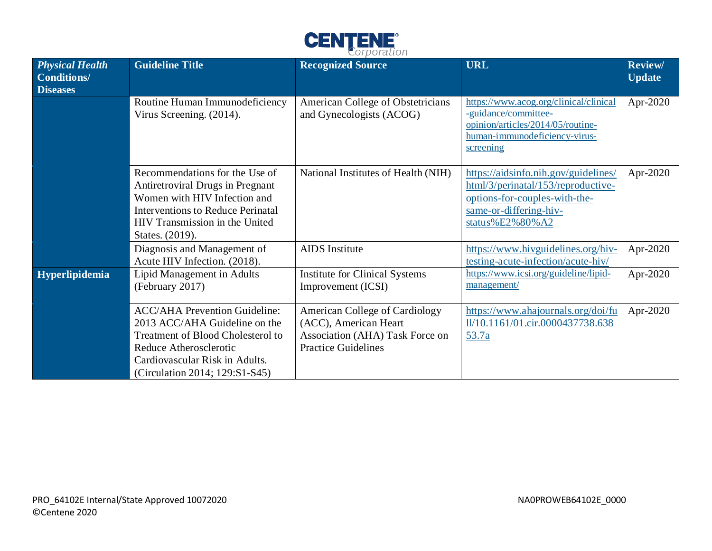

| <b>Physical Health</b><br><b>Conditions/</b><br><b>Diseases</b> | <b>Guideline Title</b>                                                                                                                                                                                   | <b>Recognized Source</b>                                                                                                        | <b>URL</b>                                                                                                                                               | <b>Review/</b><br><b>Update</b> |
|-----------------------------------------------------------------|----------------------------------------------------------------------------------------------------------------------------------------------------------------------------------------------------------|---------------------------------------------------------------------------------------------------------------------------------|----------------------------------------------------------------------------------------------------------------------------------------------------------|---------------------------------|
|                                                                 | Routine Human Immunodeficiency<br>Virus Screening. (2014).                                                                                                                                               | American College of Obstetricians<br>and Gynecologists (ACOG)                                                                   | https://www.acog.org/clinical/clinical<br>-guidance/committee-<br>opinion/articles/2014/05/routine-<br>human-immunodeficiency-virus-<br>screening        | Apr-2020                        |
|                                                                 | Recommendations for the Use of<br>Antiretroviral Drugs in Pregnant<br>Women with HIV Infection and<br><b>Interventions to Reduce Perinatal</b><br>HIV Transmission in the United<br>States. (2019).      | National Institutes of Health (NIH)                                                                                             | https://aidsinfo.nih.gov/guidelines/<br>html/3/perinatal/153/reproductive-<br>options-for-couples-with-the-<br>same-or-differing-hiv-<br>status%E2%80%A2 | Apr-2020                        |
|                                                                 | Diagnosis and Management of<br>Acute HIV Infection. (2018).                                                                                                                                              | <b>AIDS</b> Institute                                                                                                           | https://www.hivguidelines.org/hiv-<br>testing-acute-infection/acute-hiv/                                                                                 | Apr-2020                        |
| Hyperlipidemia                                                  | Lipid Management in Adults<br>(February 2017)                                                                                                                                                            | <b>Institute for Clinical Systems</b><br>Improvement (ICSI)                                                                     | https://www.icsi.org/guideline/lipid-<br>management/                                                                                                     | Apr-2020                        |
|                                                                 | <b>ACC/AHA Prevention Guideline:</b><br>2013 ACC/AHA Guideline on the<br>Treatment of Blood Cholesterol to<br>Reduce Atherosclerotic<br>Cardiovascular Risk in Adults.<br>(Circulation 2014; 129:S1-S45) | <b>American College of Cardiology</b><br>(ACC), American Heart<br>Association (AHA) Task Force on<br><b>Practice Guidelines</b> | https://www.ahajournals.org/doi/fu<br>ll/10.1161/01.cir.0000437738.638<br>53.7a                                                                          | Apr-2020                        |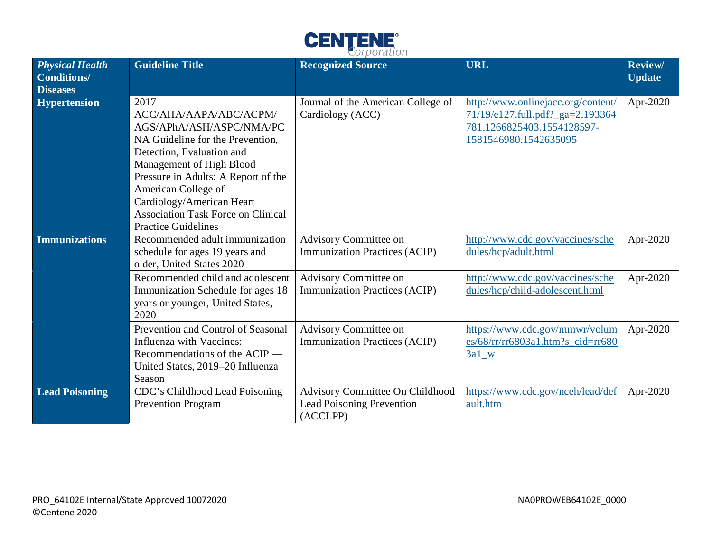

| <b>Physical Health</b><br><b>Conditions/</b><br><b>Diseases</b> | <b>Guideline Title</b>                                                                                                                                                                                                                                                                                                        | <b>Recognized Source</b>                                                 | <b>URL</b>                                                                                                                    | <b>Review/</b><br><b>Update</b> |
|-----------------------------------------------------------------|-------------------------------------------------------------------------------------------------------------------------------------------------------------------------------------------------------------------------------------------------------------------------------------------------------------------------------|--------------------------------------------------------------------------|-------------------------------------------------------------------------------------------------------------------------------|---------------------------------|
| <b>Hypertension</b>                                             | 2017<br>ACC/AHA/AAPA/ABC/ACPM/<br>AGS/APhA/ASH/ASPC/NMA/PC<br>NA Guideline for the Prevention,<br>Detection, Evaluation and<br>Management of High Blood<br>Pressure in Adults; A Report of the<br>American College of<br>Cardiology/American Heart<br><b>Association Task Force on Clinical</b><br><b>Practice Guidelines</b> | Journal of the American College of<br>Cardiology (ACC)                   | http://www.onlinejacc.org/content/<br>71/19/e127.full.pdf?_ga=2.193364<br>781.1266825403.1554128597-<br>1581546980.1542635095 | Apr-2020                        |
| <b>Immunizations</b>                                            | Recommended adult immunization<br>schedule for ages 19 years and<br>older, United States 2020                                                                                                                                                                                                                                 | Advisory Committee on<br><b>Immunization Practices (ACIP)</b>            | http://www.cdc.gov/vaccines/sche<br>dules/hcp/adult.html                                                                      | Apr-2020                        |
|                                                                 | Recommended child and adolescent<br>Immunization Schedule for ages 18<br>years or younger, United States,<br>2020                                                                                                                                                                                                             | Advisory Committee on<br><b>Immunization Practices (ACIP)</b>            | http://www.cdc.gov/vaccines/sche<br>dules/hcp/child-adolescent.html                                                           | Apr-2020                        |
|                                                                 | Prevention and Control of Seasonal<br>Influenza with Vaccines:<br>Recommendations of the ACIP —<br>United States, 2019-20 Influenza<br>Season                                                                                                                                                                                 | Advisory Committee on<br><b>Immunization Practices (ACIP)</b>            | https://www.cdc.gov/mmwr/volum<br>es/68/rr/rr6803a1.htm?s cid=rr680<br>$3a1$ W                                                | Apr-2020                        |
| <b>Lead Poisoning</b>                                           | CDC's Childhood Lead Poisoning<br><b>Prevention Program</b>                                                                                                                                                                                                                                                                   | Advisory Committee On Childhood<br>Lead Poisoning Prevention<br>(ACCLPP) | https://www.cdc.gov/nceh/lead/def<br>ault.htm                                                                                 | Apr-2020                        |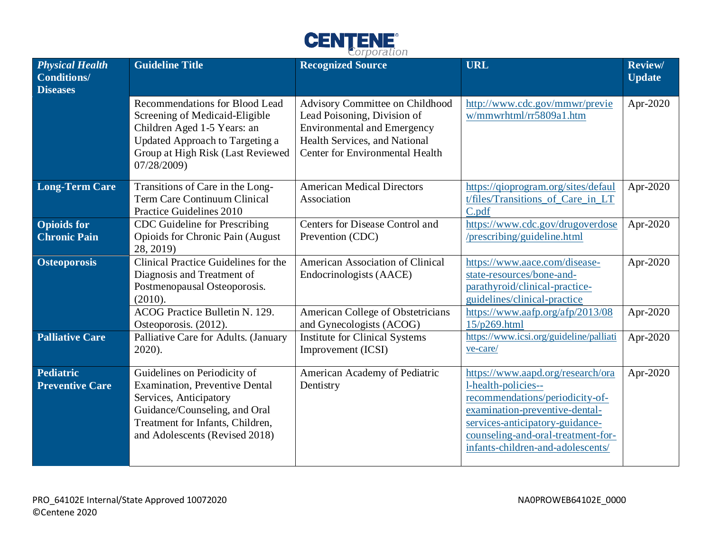

| <b>Physical Health</b><br><b>Conditions/</b><br><b>Diseases</b> | <b>Guideline Title</b>                                                                                                                                                                                 | <b>Recognized Source</b>                                                                                                                                                        | <b>URL</b>                                                                                                                                                                                                                                  | <b>Review/</b><br><b>Update</b> |
|-----------------------------------------------------------------|--------------------------------------------------------------------------------------------------------------------------------------------------------------------------------------------------------|---------------------------------------------------------------------------------------------------------------------------------------------------------------------------------|---------------------------------------------------------------------------------------------------------------------------------------------------------------------------------------------------------------------------------------------|---------------------------------|
|                                                                 | Recommendations for Blood Lead<br>Screening of Medicaid-Eligible<br>Children Aged 1-5 Years: an<br>Updated Approach to Targeting a<br>Group at High Risk (Last Reviewed<br>07/28/2009)                 | Advisory Committee on Childhood<br>Lead Poisoning, Division of<br><b>Environmental and Emergency</b><br>Health Services, and National<br><b>Center for Environmental Health</b> | http://www.cdc.gov/mmwr/previe<br>w/mmwrhtml/rr5809a1.htm                                                                                                                                                                                   | Apr-2020                        |
| <b>Long-Term Care</b>                                           | Transitions of Care in the Long-<br><b>Term Care Continuum Clinical</b><br>Practice Guidelines 2010                                                                                                    | <b>American Medical Directors</b><br>Association                                                                                                                                | https://qioprogram.org/sites/defaul<br>t/files/Transitions_of_Care_in_LT<br>C.pdf                                                                                                                                                           | Apr-2020                        |
| <b>Opioids for</b><br><b>Chronic Pain</b>                       | CDC Guideline for Prescribing<br>Opioids for Chronic Pain (August<br>28, 2019)                                                                                                                         | Centers for Disease Control and<br>Prevention (CDC)                                                                                                                             | https://www.cdc.gov/drugoverdose<br>/prescribing/guideline.html                                                                                                                                                                             | Apr-2020                        |
| <b>Osteoporosis</b>                                             | Clinical Practice Guidelines for the<br>Diagnosis and Treatment of<br>Postmenopausal Osteoporosis.<br>(2010).                                                                                          | American Association of Clinical<br>Endocrinologists (AACE)                                                                                                                     | https://www.aace.com/disease-<br>state-resources/bone-and-<br>parathyroid/clinical-practice-<br>guidelines/clinical-practice                                                                                                                | Apr-2020                        |
|                                                                 | ACOG Practice Bulletin N. 129.<br>Osteoporosis. (2012).                                                                                                                                                | American College of Obstetricians<br>and Gynecologists (ACOG)                                                                                                                   | https://www.aafp.org/afp/2013/08<br>15/p269.html                                                                                                                                                                                            | Apr-2020                        |
| <b>Palliative Care</b>                                          | Palliative Care for Adults. (January<br>2020).                                                                                                                                                         | <b>Institute for Clinical Systems</b><br>Improvement (ICSI)                                                                                                                     | https://www.icsi.org/guideline/palliati<br>ve-care/                                                                                                                                                                                         | Apr-2020                        |
| <b>Pediatric</b><br><b>Preventive Care</b>                      | Guidelines on Periodicity of<br><b>Examination, Preventive Dental</b><br>Services, Anticipatory<br>Guidance/Counseling, and Oral<br>Treatment for Infants, Children,<br>and Adolescents (Revised 2018) | American Academy of Pediatric<br>Dentistry                                                                                                                                      | https://www.aapd.org/research/ora<br>l-health-policies--<br>recommendations/periodicity-of-<br>examination-preventive-dental-<br>services-anticipatory-guidance-<br>counseling-and-oral-treatment-for-<br>infants-children-and-adolescents/ | Apr-2020                        |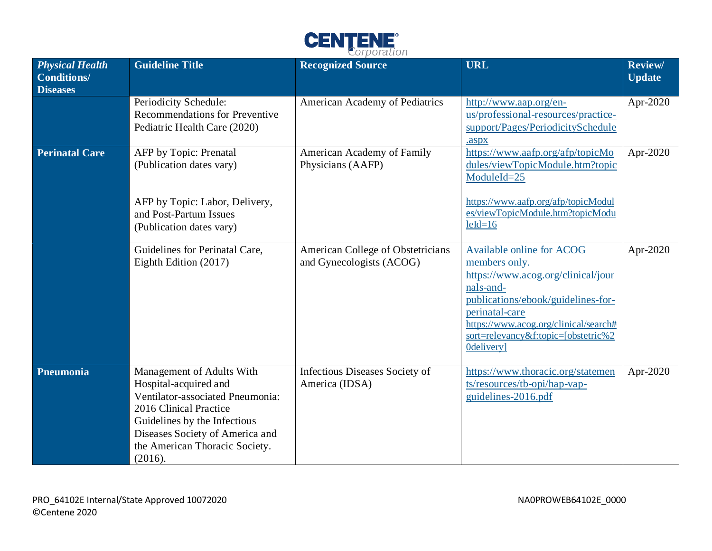

| <b>Physical Health</b><br><b>Conditions/</b><br><b>Diseases</b> | <b>Guideline Title</b>                                                                                                                                                                                                           | <b>Recognized Source</b>                                      | <b>URL</b>                                                                                                                                                                                                                                          | Review/<br><b>Update</b> |
|-----------------------------------------------------------------|----------------------------------------------------------------------------------------------------------------------------------------------------------------------------------------------------------------------------------|---------------------------------------------------------------|-----------------------------------------------------------------------------------------------------------------------------------------------------------------------------------------------------------------------------------------------------|--------------------------|
|                                                                 | Periodicity Schedule:<br><b>Recommendations for Preventive</b><br>Pediatric Health Care (2020)                                                                                                                                   | American Academy of Pediatrics                                | http://www.aap.org/en-<br>us/professional-resources/practice-<br>support/Pages/PeriodicitySchedule<br>.aspx                                                                                                                                         | Apr-2020                 |
| <b>Perinatal Care</b>                                           | AFP by Topic: Prenatal<br>(Publication dates vary)<br>AFP by Topic: Labor, Delivery,<br>and Post-Partum Issues<br>(Publication dates vary)                                                                                       | American Academy of Family<br>Physicians (AAFP)               | https://www.aafp.org/afp/topicMo<br>dules/viewTopicModule.htm?topic<br>ModuleId=25<br>https://www.aafp.org/afp/topicModul<br>es/viewTopicModule.htm?topicModu<br>$leId=16$                                                                          | Apr-2020                 |
|                                                                 | Guidelines for Perinatal Care,<br>Eighth Edition (2017)                                                                                                                                                                          | American College of Obstetricians<br>and Gynecologists (ACOG) | Available online for ACOG<br>members only.<br>https://www.acog.org/clinical/jour<br>nals-and-<br>publications/ebook/guidelines-for-<br>perinatal-care<br>https://www.acog.org/clinical/search#<br>sort=relevancy&f:topic=[obstetric%2<br>0delivery] | Apr-2020                 |
| Pneumonia                                                       | Management of Adults With<br>Hospital-acquired and<br>Ventilator-associated Pneumonia:<br>2016 Clinical Practice<br>Guidelines by the Infectious<br>Diseases Society of America and<br>the American Thoracic Society.<br>(2016). | Infectious Diseases Society of<br>America (IDSA)              | https://www.thoracic.org/statemen<br>ts/resources/tb-opi/hap-vap-<br>guidelines-2016.pdf                                                                                                                                                            | Apr-2020                 |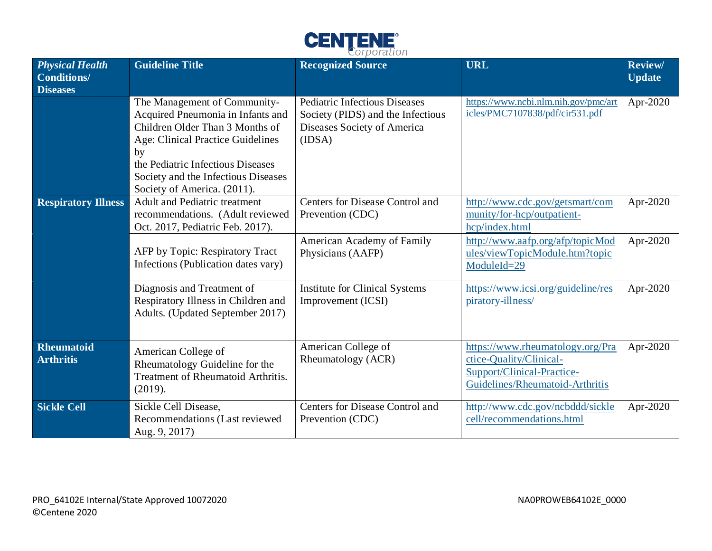

| <b>Physical Health</b><br><b>Conditions/</b><br><b>Diseases</b> | <b>Guideline Title</b>                                                                                                                                                                                                                                            | <b>Recognized Source</b>                                                                                           | <b>URL</b>                                                                                                                   | <b>Review/</b><br><b>Update</b> |
|-----------------------------------------------------------------|-------------------------------------------------------------------------------------------------------------------------------------------------------------------------------------------------------------------------------------------------------------------|--------------------------------------------------------------------------------------------------------------------|------------------------------------------------------------------------------------------------------------------------------|---------------------------------|
|                                                                 | The Management of Community-<br>Acquired Pneumonia in Infants and<br>Children Older Than 3 Months of<br><b>Age: Clinical Practice Guidelines</b><br>by<br>the Pediatric Infectious Diseases<br>Society and the Infectious Diseases<br>Society of America. (2011). | <b>Pediatric Infectious Diseases</b><br>Society (PIDS) and the Infectious<br>Diseases Society of America<br>(IDSA) | https://www.ncbi.nlm.nih.gov/pmc/art<br>icles/PMC7107838/pdf/cir531.pdf                                                      | Apr-2020                        |
| <b>Respiratory Illness</b>                                      | <b>Adult and Pediatric treatment</b><br>recommendations. (Adult reviewed<br>Oct. 2017, Pediatric Feb. 2017).                                                                                                                                                      | Centers for Disease Control and<br>Prevention (CDC)                                                                | http://www.cdc.gov/getsmart/com<br>munity/for-hcp/outpatient-<br>hcp/index.html                                              | Apr-2020                        |
|                                                                 | AFP by Topic: Respiratory Tract<br>Infections (Publication dates vary)                                                                                                                                                                                            | American Academy of Family<br>Physicians (AAFP)                                                                    | http://www.aafp.org/afp/topicMod<br>ules/viewTopicModule.htm?topic<br>ModuleId=29                                            | Apr-2020                        |
|                                                                 | Diagnosis and Treatment of<br>Respiratory Illness in Children and<br>Adults. (Updated September 2017)                                                                                                                                                             | Institute for Clinical Systems<br>Improvement (ICSI)                                                               | https://www.icsi.org/guideline/res<br>piratory-illness/                                                                      | Apr-2020                        |
| <b>Rheumatoid</b><br><b>Arthritis</b>                           | American College of<br>Rheumatology Guideline for the<br>Treatment of Rheumatoid Arthritis.<br>(2019).                                                                                                                                                            | American College of<br>Rheumatology (ACR)                                                                          | https://www.rheumatology.org/Pra<br>ctice-Quality/Clinical-<br>Support/Clinical-Practice-<br>Guidelines/Rheumatoid-Arthritis | Apr-2020                        |
| <b>Sickle Cell</b>                                              | Sickle Cell Disease,<br>Recommendations (Last reviewed<br>Aug. 9, 2017)                                                                                                                                                                                           | Centers for Disease Control and<br>Prevention (CDC)                                                                | http://www.cdc.gov/ncbddd/sickle<br>cell/recommendations.html                                                                | Apr-2020                        |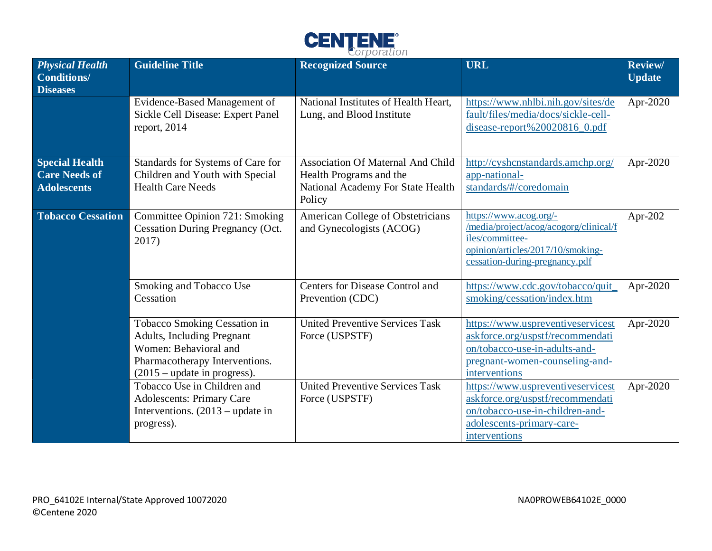

| <b>Physical Health</b><br><b>Conditions/</b><br><b>Diseases</b>     | <b>Guideline Title</b>                                                                                                                                         | <b>Recognized Source</b>                                                                                           | <b>URL</b>                                                                                                                                                 | <b>Review/</b><br><b>Update</b> |
|---------------------------------------------------------------------|----------------------------------------------------------------------------------------------------------------------------------------------------------------|--------------------------------------------------------------------------------------------------------------------|------------------------------------------------------------------------------------------------------------------------------------------------------------|---------------------------------|
|                                                                     | Evidence-Based Management of<br>Sickle Cell Disease: Expert Panel<br>report, $2014$                                                                            | National Institutes of Health Heart,<br>Lung, and Blood Institute                                                  | https://www.nhlbi.nih.gov/sites/de<br>fault/files/media/docs/sickle-cell-<br>disease-report%20020816_0.pdf                                                 | Apr-2020                        |
| <b>Special Health</b><br><b>Care Needs of</b><br><b>Adolescents</b> | Standards for Systems of Care for<br>Children and Youth with Special<br><b>Health Care Needs</b>                                                               | <b>Association Of Maternal And Child</b><br>Health Programs and the<br>National Academy For State Health<br>Policy | http://cyshcnstandards.amchp.org/<br>app-national-<br>standards/#/coredomain                                                                               | Apr-2020                        |
| <b>Tobacco Cessation</b>                                            | Committee Opinion 721: Smoking<br><b>Cessation During Pregnancy (Oct.</b><br>2017)                                                                             | American College of Obstetricians<br>and Gynecologists (ACOG)                                                      | https://www.acog.org/-<br>/media/project/acog/acogorg/clinical/f<br>iles/committee-<br>opinion/articles/2017/10/smoking-<br>cessation-during-pregnancy.pdf | Apr-202                         |
|                                                                     | Smoking and Tobacco Use<br>Cessation                                                                                                                           | Centers for Disease Control and<br>Prevention (CDC)                                                                | https://www.cdc.gov/tobacco/quit_<br>smoking/cessation/index.htm                                                                                           | Apr-2020                        |
|                                                                     | Tobacco Smoking Cessation in<br><b>Adults, Including Pregnant</b><br>Women: Behavioral and<br>Pharmacotherapy Interventions.<br>$(2015 - update in progress).$ | <b>United Preventive Services Task</b><br>Force (USPSTF)                                                           | https://www.uspreventiveservicest<br>askforce.org/uspstf/recommendati<br>on/tobacco-use-in-adults-and-<br>pregnant-women-counseling-and-<br>interventions  | Apr-2020                        |
|                                                                     | Tobacco Use in Children and<br><b>Adolescents: Primary Care</b><br>Interventions. $(2013 - update in$<br>progress).                                            | <b>United Preventive Services Task</b><br>Force (USPSTF)                                                           | https://www.uspreventiveservicest<br>askforce.org/uspstf/recommendati<br>on/tobacco-use-in-children-and-<br>adolescents-primary-care-<br>interventions     | Apr-2020                        |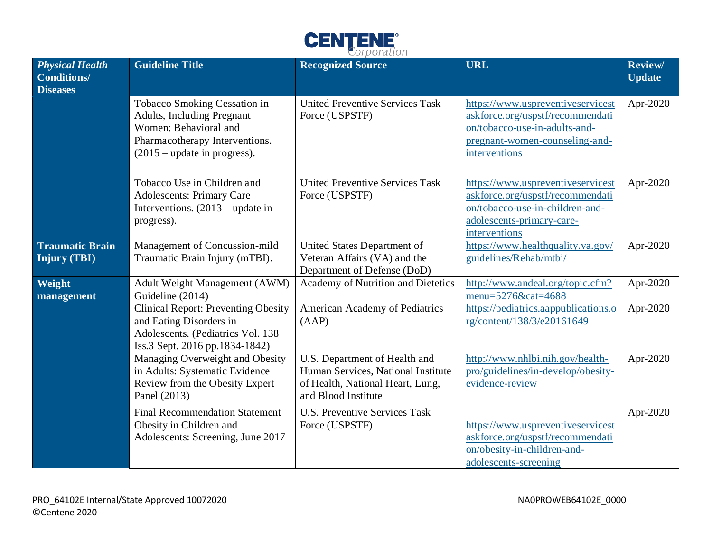

| <b>Physical Health</b><br><b>Conditions/</b><br><b>Diseases</b> | <b>Guideline Title</b>                                                                                                                                         | <b>Recognized Source</b>                                                                                                       | <b>URL</b>                                                                                                                                                | <b>Review/</b><br><b>Update</b> |
|-----------------------------------------------------------------|----------------------------------------------------------------------------------------------------------------------------------------------------------------|--------------------------------------------------------------------------------------------------------------------------------|-----------------------------------------------------------------------------------------------------------------------------------------------------------|---------------------------------|
|                                                                 | <b>Tobacco Smoking Cessation in</b><br>Adults, Including Pregnant<br>Women: Behavioral and<br>Pharmacotherapy Interventions.<br>$(2015 - update in progress).$ | <b>United Preventive Services Task</b><br>Force (USPSTF)                                                                       | https://www.uspreventiveservicest<br>askforce.org/uspstf/recommendati<br>on/tobacco-use-in-adults-and-<br>pregnant-women-counseling-and-<br>interventions | Apr-2020                        |
|                                                                 | Tobacco Use in Children and<br><b>Adolescents: Primary Care</b><br>Interventions. $(2013 - update in$<br>progress).                                            | <b>United Preventive Services Task</b><br>Force (USPSTF)                                                                       | https://www.uspreventiveservicest<br>askforce.org/uspstf/recommendati<br>on/tobacco-use-in-children-and-<br>adolescents-primary-care-<br>interventions    | Apr-2020                        |
| <b>Traumatic Brain</b><br><b>Injury (TBI)</b>                   | Management of Concussion-mild<br>Traumatic Brain Injury (mTBI).                                                                                                | United States Department of<br>Veteran Affairs (VA) and the<br>Department of Defense (DoD)                                     | https://www.healthquality.va.gov/<br>guidelines/Rehab/mtbi/                                                                                               | Apr-2020                        |
| Weight<br>management                                            | <b>Adult Weight Management (AWM)</b><br>Guideline (2014)                                                                                                       | Academy of Nutrition and Dietetics                                                                                             | http://www.andeal.org/topic.cfm?<br>menu=5276&cat=4688                                                                                                    | Apr-2020                        |
|                                                                 | <b>Clinical Report: Preventing Obesity</b><br>and Eating Disorders in<br>Adolescents. (Pediatrics Vol. 138<br>Iss.3 Sept. 2016 pp.1834-1842)                   | American Academy of Pediatrics<br>(AAP)                                                                                        | https://pediatrics.aappublications.o<br>rg/content/138/3/e20161649                                                                                        | Apr-2020                        |
|                                                                 | Managing Overweight and Obesity<br>in Adults: Systematic Evidence<br>Review from the Obesity Expert<br>Panel (2013)                                            | U.S. Department of Health and<br>Human Services, National Institute<br>of Health, National Heart, Lung,<br>and Blood Institute | http://www.nhlbi.nih.gov/health-<br>pro/guidelines/in-develop/obesity-<br>evidence-review                                                                 | Apr-2020                        |
|                                                                 | <b>Final Recommendation Statement</b><br>Obesity in Children and<br>Adolescents: Screening, June 2017                                                          | <b>U.S. Preventive Services Task</b><br>Force (USPSTF)                                                                         | https://www.uspreventiveservicest<br>askforce.org/uspstf/recommendati<br>on/obesity-in-children-and-<br>adolescents-screening                             | Apr-2020                        |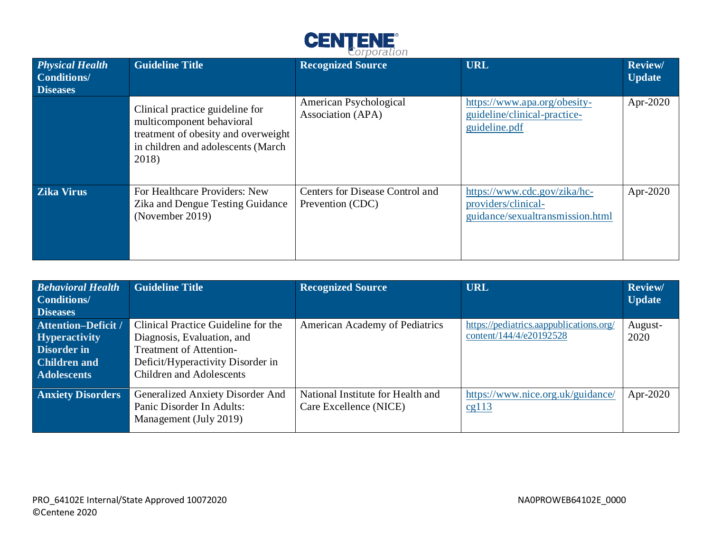

| <b>Physical Health</b><br><b>Conditions/</b><br><b>Diseases</b> | <b>Guideline Title</b>                                                                                                                             | <b>Recognized Source</b>                            | <b>URL</b>                                                                              | <b>Review/</b><br><b>Update</b> |
|-----------------------------------------------------------------|----------------------------------------------------------------------------------------------------------------------------------------------------|-----------------------------------------------------|-----------------------------------------------------------------------------------------|---------------------------------|
|                                                                 | Clinical practice guideline for<br>multicomponent behavioral<br>treatment of obesity and overweight<br>in children and adolescents (March<br>2018) | American Psychological<br>Association (APA)         | https://www.apa.org/obesity-<br>guideline/clinical-practice-<br>guideline.pdf           | Apr-2020                        |
| <b>Zika Virus</b>                                               | For Healthcare Providers: New<br>Zika and Dengue Testing Guidance<br>(November 2019)                                                               | Centers for Disease Control and<br>Prevention (CDC) | https://www.cdc.gov/zika/hc-<br>providers/clinical-<br>guidance/sexualtransmission.html | Apr-2020                        |

| <b>Behavioral Health</b>   | <b>Guideline Title</b>              | <b>Recognized Source</b>              | <b>URL</b>                              | <b>Review/</b> |
|----------------------------|-------------------------------------|---------------------------------------|-----------------------------------------|----------------|
| <b>Conditions</b> /        |                                     |                                       |                                         | <b>Update</b>  |
| <b>Diseases</b>            |                                     |                                       |                                         |                |
| <b>Attention-Deficit /</b> | Clinical Practice Guideline for the | <b>American Academy of Pediatrics</b> | https://pediatrics.aappublications.org/ | August-        |
| <b>Hyperactivity</b>       | Diagnosis, Evaluation, and          |                                       | content/144/4/e20192528                 | 2020           |
| <b>Disorder in</b>         | <b>Treatment of Attention-</b>      |                                       |                                         |                |
| <b>Children and</b>        | Deficit/Hyperactivity Disorder in   |                                       |                                         |                |
| <b>Adolescents</b>         | <b>Children and Adolescents</b>     |                                       |                                         |                |
| <b>Anxiety Disorders</b>   | Generalized Anxiety Disorder And    | National Institute for Health and     | https://www.nice.org.uk/guidance/       | Apr-2020       |
|                            | Panic Disorder In Adults:           | Care Excellence (NICE)                | c <sub>g</sub> 113                      |                |
|                            | Management (July 2019)              |                                       |                                         |                |
|                            |                                     |                                       |                                         |                |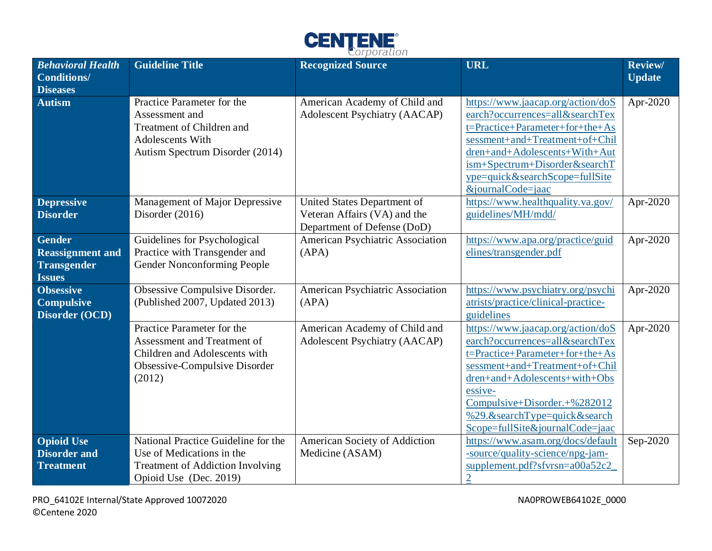

| <b>Behavioral Health</b><br><b>Conditions/</b><br><b>Diseases</b>               | <b>Guideline Title</b>                                                                                                                | <b>Recognized Source</b>                                                                   | <b>URL</b>                                                                                                                                                                                                                                                                               | Review/<br><b>Update</b> |
|---------------------------------------------------------------------------------|---------------------------------------------------------------------------------------------------------------------------------------|--------------------------------------------------------------------------------------------|------------------------------------------------------------------------------------------------------------------------------------------------------------------------------------------------------------------------------------------------------------------------------------------|--------------------------|
| <b>Autism</b>                                                                   | Practice Parameter for the<br>Assessment and<br>Treatment of Children and<br>Adolescents With<br>Autism Spectrum Disorder (2014)      | American Academy of Child and<br><b>Adolescent Psychiatry (AACAP)</b>                      | https://www.jaacap.org/action/doS<br>earch?occurrences=all&searchTex<br>t=Practice+Parameter+for+the+As<br>sessment+and+Treatment+of+Chil<br>dren+and+Adolescents+With+Aut<br>ism+Spectrum+Disorder&searchT<br>ype=quick&searchScope=fullSite<br>&journalCode=jaac                       | Apr-2020                 |
| <b>Depressive</b><br><b>Disorder</b>                                            | Management of Major Depressive<br>Disorder $(2016)$                                                                                   | United States Department of<br>Veteran Affairs (VA) and the<br>Department of Defense (DoD) | https://www.healthquality.va.gov/<br>guidelines/MH/mdd/                                                                                                                                                                                                                                  | Apr-2020                 |
| <b>Gender</b><br><b>Reassignment and</b><br><b>Transgender</b><br><b>Issues</b> | Guidelines for Psychological<br>Practice with Transgender and<br>Gender Nonconforming People                                          | American Psychiatric Association<br>(APA)                                                  | https://www.apa.org/practice/guid<br>elines/transgender.pdf                                                                                                                                                                                                                              | Apr-2020                 |
| <b>Obsessive</b><br><b>Compulsive</b><br>Disorder (OCD)                         | Obsessive Compulsive Disorder.<br>(Published 2007, Updated 2013)                                                                      | American Psychiatric Association<br>(APA)                                                  | https://www.psychiatry.org/psychi<br>atrists/practice/clinical-practice-<br>guidelines                                                                                                                                                                                                   | Apr-2020                 |
|                                                                                 | Practice Parameter for the<br>Assessment and Treatment of<br>Children and Adolescents with<br>Obsessive-Compulsive Disorder<br>(2012) | American Academy of Child and<br><b>Adolescent Psychiatry (AACAP)</b>                      | https://www.jaacap.org/action/doS<br>earch?occurrences=all&searchTex<br>t=Practice+Parameter+for+the+As<br>sessment+and+Treatment+of+Chil<br>dren+and+Adolescents+with+Obs<br>essive-<br>Compulsive+Disorder.+%282012<br>%29.&searchType=quick&search<br>Scope=fullSite&journalCode=jaac | Apr-2020                 |
| <b>Opioid Use</b><br><b>Disorder and</b><br><b>Treatment</b>                    | National Practice Guideline for the<br>Use of Medications in the<br><b>Treatment of Addiction Involving</b><br>Opioid Use (Dec. 2019) | American Society of Addiction<br>Medicine (ASAM)                                           | https://www.asam.org/docs/default<br>-source/quality-science/npg-jam-<br>supplement.pdf?sfvrsn=a00a52c2<br>$\overline{2}$                                                                                                                                                                | Sep-2020                 |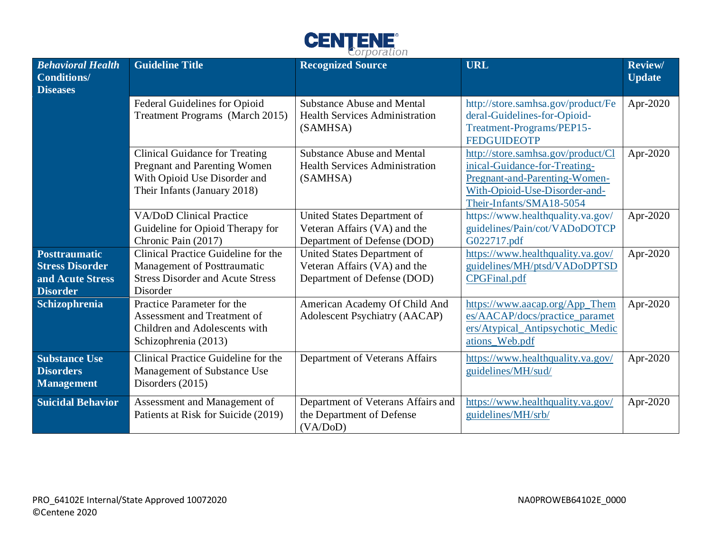

| <b>Behavioral Health</b><br><b>Conditions/</b><br><b>Diseases</b>                     | <b>Guideline Title</b>                                                                                                                | <b>Recognized Source</b>                                                                   | <b>URL</b>                                                                                                                                                        | <b>Review/</b><br><b>Update</b> |
|---------------------------------------------------------------------------------------|---------------------------------------------------------------------------------------------------------------------------------------|--------------------------------------------------------------------------------------------|-------------------------------------------------------------------------------------------------------------------------------------------------------------------|---------------------------------|
|                                                                                       | Federal Guidelines for Opioid<br>Treatment Programs (March 2015)                                                                      | <b>Substance Abuse and Mental</b><br><b>Health Services Administration</b><br>(SAMHSA)     | http://store.samhsa.gov/product/Fe<br>deral-Guidelines-for-Opioid-<br>Treatment-Programs/PEP15-<br><b>FEDGUIDEOTP</b>                                             | Apr-2020                        |
|                                                                                       | <b>Clinical Guidance for Treating</b><br>Pregnant and Parenting Women<br>With Opioid Use Disorder and<br>Their Infants (January 2018) | <b>Substance Abuse and Mental</b><br><b>Health Services Administration</b><br>(SAMHSA)     | http://store.samhsa.gov/product/Cl<br>inical-Guidance-for-Treating-<br>Pregnant-and-Parenting-Women-<br>With-Opioid-Use-Disorder-and-<br>Their-Infants/SMA18-5054 | Apr-2020                        |
|                                                                                       | <b>VA/DoD Clinical Practice</b><br>Guideline for Opioid Therapy for<br>Chronic Pain (2017)                                            | United States Department of<br>Veteran Affairs (VA) and the<br>Department of Defense (DOD) | https://www.healthquality.va.gov/<br>guidelines/Pain/cot/VADoDOTCP<br>G022717.pdf                                                                                 | Apr-2020                        |
| <b>Posttraumatic</b><br><b>Stress Disorder</b><br>and Acute Stress<br><b>Disorder</b> | Clinical Practice Guideline for the<br>Management of Posttraumatic<br><b>Stress Disorder and Acute Stress</b><br>Disorder             | United States Department of<br>Veteran Affairs (VA) and the<br>Department of Defense (DOD) | https://www.healthquality.va.gov/<br>guidelines/MH/ptsd/VADoDPTSD<br>CPGFinal.pdf                                                                                 | Apr-2020                        |
| Schizophrenia                                                                         | Practice Parameter for the<br>Assessment and Treatment of<br>Children and Adolescents with<br>Schizophrenia (2013)                    | American Academy Of Child And<br><b>Adolescent Psychiatry (AACAP)</b>                      | https://www.aacap.org/App_Them<br>es/AACAP/docs/practice_paramet<br>ers/Atypical_Antipsychotic_Medic<br>ations_Web.pdf                                            | Apr-2020                        |
| <b>Substance Use</b><br><b>Disorders</b><br><b>Management</b>                         | Clinical Practice Guideline for the<br>Management of Substance Use<br>Disorders $(2015)$                                              | Department of Veterans Affairs                                                             | https://www.healthquality.va.gov/<br>guidelines/MH/sud/                                                                                                           | Apr-2020                        |
| <b>Suicidal Behavior</b>                                                              | Assessment and Management of<br>Patients at Risk for Suicide (2019)                                                                   | Department of Veterans Affairs and<br>the Department of Defense<br>(VA/DoD)                | https://www.healthquality.va.gov/<br>guidelines/MH/srb/                                                                                                           | Apr-2020                        |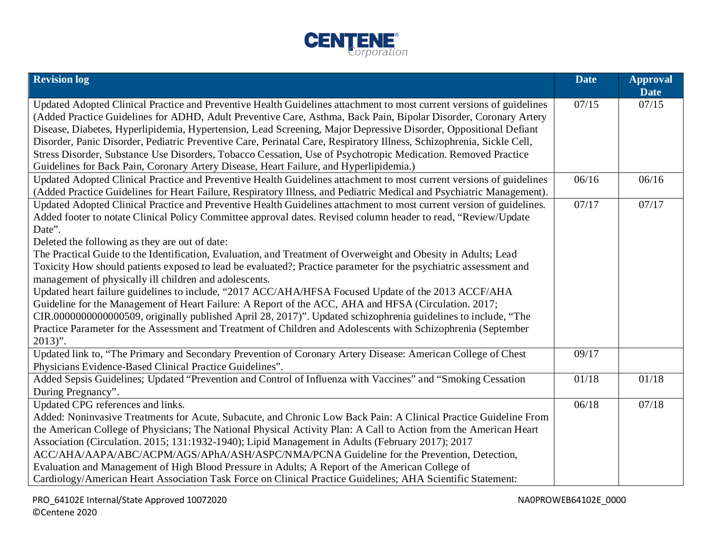

| <b>Revision log</b>                                                                                                                                                                                                                                                                                                                                                                                                                                                                                                                                                                                                                                                                                                                                                                                                                                                                                                                                                                                                                                                | <b>Date</b> | <b>Approval</b><br><b>Date</b> |
|--------------------------------------------------------------------------------------------------------------------------------------------------------------------------------------------------------------------------------------------------------------------------------------------------------------------------------------------------------------------------------------------------------------------------------------------------------------------------------------------------------------------------------------------------------------------------------------------------------------------------------------------------------------------------------------------------------------------------------------------------------------------------------------------------------------------------------------------------------------------------------------------------------------------------------------------------------------------------------------------------------------------------------------------------------------------|-------------|--------------------------------|
| Updated Adopted Clinical Practice and Preventive Health Guidelines attachment to most current versions of guidelines<br>(Added Practice Guidelines for ADHD, Adult Preventive Care, Asthma, Back Pain, Bipolar Disorder, Coronary Artery<br>Disease, Diabetes, Hyperlipidemia, Hypertension, Lead Screening, Major Depressive Disorder, Oppositional Defiant<br>Disorder, Panic Disorder, Pediatric Preventive Care, Perinatal Care, Respiratory Illness, Schizophrenia, Sickle Cell,<br>Stress Disorder, Substance Use Disorders, Tobacco Cessation, Use of Psychotropic Medication. Removed Practice<br>Guidelines for Back Pain, Coronary Artery Disease, Heart Failure, and Hyperlipidemia.)                                                                                                                                                                                                                                                                                                                                                                   | 07/15       | 07/15                          |
| Updated Adopted Clinical Practice and Preventive Health Guidelines attachment to most current versions of guidelines<br>(Added Practice Guidelines for Heart Failure, Respiratory Illness, and Pediatric Medical and Psychiatric Management).                                                                                                                                                                                                                                                                                                                                                                                                                                                                                                                                                                                                                                                                                                                                                                                                                      | 06/16       | 06/16                          |
| Updated Adopted Clinical Practice and Preventive Health Guidelines attachment to most current version of guidelines.<br>Added footer to notate Clinical Policy Committee approval dates. Revised column header to read, "Review/Update<br>Date".<br>Deleted the following as they are out of date:<br>The Practical Guide to the Identification, Evaluation, and Treatment of Overweight and Obesity in Adults; Lead<br>Toxicity How should patients exposed to lead be evaluated?; Practice parameter for the psychiatric assessment and<br>management of physically ill children and adolescents.<br>Updated heart failure guidelines to include, "2017 ACC/AHA/HFSA Focused Update of the 2013 ACCF/AHA<br>Guideline for the Management of Heart Failure: A Report of the ACC, AHA and HFSA (Circulation. 2017;<br>CIR.0000000000000509, originally published April 28, 2017)". Updated schizophrenia guidelines to include, "The<br>Practice Parameter for the Assessment and Treatment of Children and Adolescents with Schizophrenia (September<br>$2013$ ". | 07/17       | 07/17                          |
| Updated link to, "The Primary and Secondary Prevention of Coronary Artery Disease: American College of Chest<br>Physicians Evidence-Based Clinical Practice Guidelines".                                                                                                                                                                                                                                                                                                                                                                                                                                                                                                                                                                                                                                                                                                                                                                                                                                                                                           | 09/17       |                                |
| Added Sepsis Guidelines; Updated "Prevention and Control of Influenza with Vaccines" and "Smoking Cessation<br>During Pregnancy".                                                                                                                                                                                                                                                                                                                                                                                                                                                                                                                                                                                                                                                                                                                                                                                                                                                                                                                                  | 01/18       | 01/18                          |
| Updated CPG references and links.<br>Added: Noninvasive Treatments for Acute, Subacute, and Chronic Low Back Pain: A Clinical Practice Guideline From<br>the American College of Physicians; The National Physical Activity Plan: A Call to Action from the American Heart<br>Association (Circulation. 2015; 131:1932-1940); Lipid Management in Adults (February 2017); 2017<br>ACC/AHA/AAPA/ABC/ACPM/AGS/APhA/ASH/ASPC/NMA/PCNA Guideline for the Prevention, Detection,<br>Evaluation and Management of High Blood Pressure in Adults; A Report of the American College of<br>Cardiology/American Heart Association Task Force on Clinical Practice Guidelines; AHA Scientific Statement:                                                                                                                                                                                                                                                                                                                                                                      | 06/18       | 07/18                          |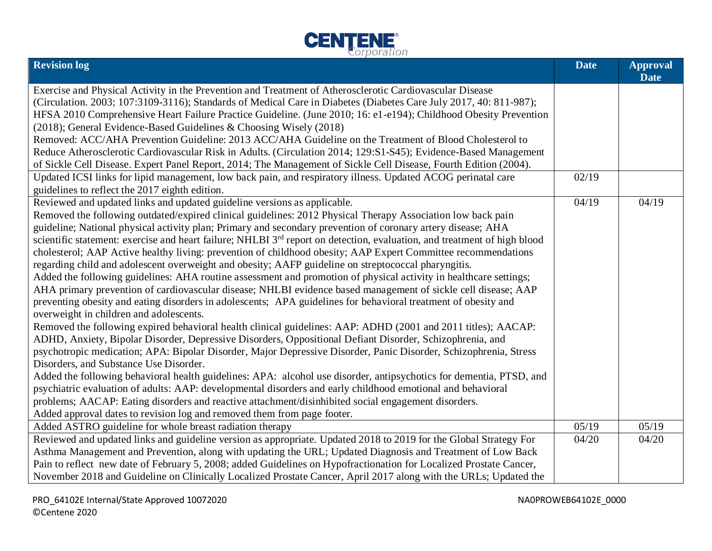

| <b>Revision log</b>                                                                                                                  | <b>Date</b> | <b>Approval</b><br><b>Date</b> |
|--------------------------------------------------------------------------------------------------------------------------------------|-------------|--------------------------------|
| Exercise and Physical Activity in the Prevention and Treatment of Atherosclerotic Cardiovascular Disease                             |             |                                |
| (Circulation. 2003; 107:3109-3116); Standards of Medical Care in Diabetes (Diabetes Care July 2017, 40: 811-987);                    |             |                                |
| HFSA 2010 Comprehensive Heart Failure Practice Guideline. (June 2010; 16: e1-e194); Childhood Obesity Prevention                     |             |                                |
| (2018); General Evidence-Based Guidelines & Choosing Wisely (2018)                                                                   |             |                                |
| Removed: ACC/AHA Prevention Guideline: 2013 ACC/AHA Guideline on the Treatment of Blood Cholesterol to                               |             |                                |
| Reduce Atherosclerotic Cardiovascular Risk in Adults. (Circulation 2014; 129:S1-S45); Evidence-Based Management                      |             |                                |
| of Sickle Cell Disease. Expert Panel Report, 2014; The Management of Sickle Cell Disease, Fourth Edition (2004).                     |             |                                |
| Updated ICSI links for lipid management, low back pain, and respiratory illness. Updated ACOG perinatal care                         | 02/19       |                                |
| guidelines to reflect the 2017 eighth edition.                                                                                       |             |                                |
| Reviewed and updated links and updated guideline versions as applicable.                                                             | 04/19       | 04/19                          |
| Removed the following outdated/expired clinical guidelines: 2012 Physical Therapy Association low back pain                          |             |                                |
| guideline; National physical activity plan; Primary and secondary prevention of coronary artery disease; AHA                         |             |                                |
| scientific statement: exercise and heart failure; NHLBI 3 <sup>rd</sup> report on detection, evaluation, and treatment of high blood |             |                                |
| cholesterol; AAP Active healthy living: prevention of childhood obesity; AAP Expert Committee recommendations                        |             |                                |
| regarding child and adolescent overweight and obesity; AAFP guideline on streptococcal pharyngitis.                                  |             |                                |
| Added the following guidelines: AHA routine assessment and promotion of physical activity in healthcare settings;                    |             |                                |
| AHA primary prevention of cardiovascular disease; NHLBI evidence based management of sickle cell disease; AAP                        |             |                                |
| preventing obesity and eating disorders in adolescents; APA guidelines for behavioral treatment of obesity and                       |             |                                |
| overweight in children and adolescents.                                                                                              |             |                                |
| Removed the following expired behavioral health clinical guidelines: AAP: ADHD (2001 and 2011 titles); AACAP:                        |             |                                |
| ADHD, Anxiety, Bipolar Disorder, Depressive Disorders, Oppositional Defiant Disorder, Schizophrenia, and                             |             |                                |
| psychotropic medication; APA: Bipolar Disorder, Major Depressive Disorder, Panic Disorder, Schizophrenia, Stress                     |             |                                |
| Disorders, and Substance Use Disorder.                                                                                               |             |                                |
| Added the following behavioral health guidelines: APA: alcohol use disorder, antipsychotics for dementia, PTSD, and                  |             |                                |
| psychiatric evaluation of adults: AAP: developmental disorders and early childhood emotional and behavioral                          |             |                                |
| problems; AACAP: Eating disorders and reactive attachment/disinhibited social engagement disorders.                                  |             |                                |
| Added approval dates to revision log and removed them from page footer.                                                              |             |                                |
| Added ASTRO guideline for whole breast radiation therapy                                                                             | 05/19       | 05/19                          |
| Reviewed and updated links and guideline version as appropriate. Updated 2018 to 2019 for the Global Strategy For                    | 04/20       | 04/20                          |
| Asthma Management and Prevention, along with updating the URL; Updated Diagnosis and Treatment of Low Back                           |             |                                |
| Pain to reflect new date of February 5, 2008; added Guidelines on Hypofractionation for Localized Prostate Cancer,                   |             |                                |
| November 2018 and Guideline on Clinically Localized Prostate Cancer, April 2017 along with the URLs; Updated the                     |             |                                |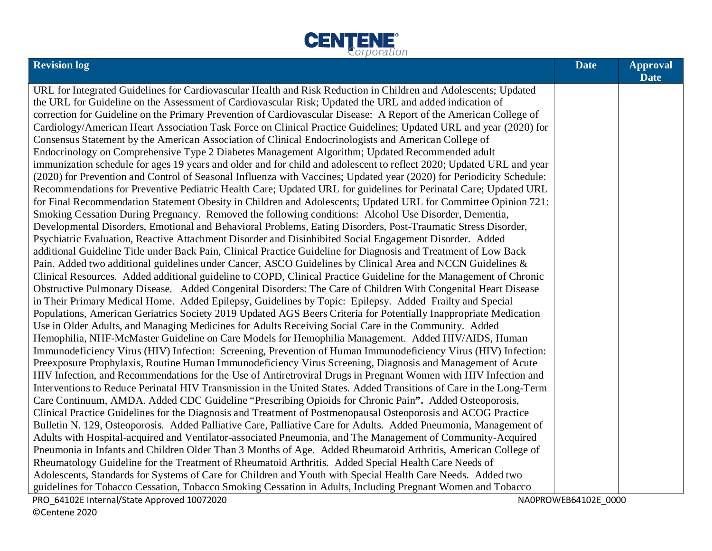

| <b>Revision log</b>                                                                                                  | <b>Date</b> | <b>Approval</b><br><b>Date</b> |
|----------------------------------------------------------------------------------------------------------------------|-------------|--------------------------------|
| URL for Integrated Guidelines for Cardiovascular Health and Risk Reduction in Children and Adolescents; Updated      |             |                                |
| the URL for Guideline on the Assessment of Cardiovascular Risk; Updated the URL and added indication of              |             |                                |
| correction for Guideline on the Primary Prevention of Cardiovascular Disease: A Report of the American College of    |             |                                |
| Cardiology/American Heart Association Task Force on Clinical Practice Guidelines; Updated URL and year (2020) for    |             |                                |
| Consensus Statement by the American Association of Clinical Endocrinologists and American College of                 |             |                                |
| Endocrinology on Comprehensive Type 2 Diabetes Management Algorithm; Updated Recommended adult                       |             |                                |
| immunization schedule for ages 19 years and older and for child and adolescent to reflect 2020; Updated URL and year |             |                                |
| (2020) for Prevention and Control of Seasonal Influenza with Vaccines; Updated year (2020) for Periodicity Schedule: |             |                                |
| Recommendations for Preventive Pediatric Health Care; Updated URL for guidelines for Perinatal Care; Updated URL     |             |                                |
| for Final Recommendation Statement Obesity in Children and Adolescents; Updated URL for Committee Opinion 721:       |             |                                |
| Smoking Cessation During Pregnancy. Removed the following conditions: Alcohol Use Disorder, Dementia,                |             |                                |
| Developmental Disorders, Emotional and Behavioral Problems, Eating Disorders, Post-Traumatic Stress Disorder,        |             |                                |
| Psychiatric Evaluation, Reactive Attachment Disorder and Disinhibited Social Engagement Disorder. Added              |             |                                |
| additional Guideline Title under Back Pain, Clinical Practice Guideline for Diagnosis and Treatment of Low Back      |             |                                |
| Pain. Added two additional guidelines under Cancer, ASCO Guidelines by Clinical Area and NCCN Guidelines &           |             |                                |
| Clinical Resources. Added additional guideline to COPD, Clinical Practice Guideline for the Management of Chronic    |             |                                |
| Obstructive Pulmonary Disease. Added Congenital Disorders: The Care of Children With Congenital Heart Disease        |             |                                |
| in Their Primary Medical Home. Added Epilepsy, Guidelines by Topic: Epilepsy. Added Frailty and Special              |             |                                |
| Populations, American Geriatrics Society 2019 Updated AGS Beers Criteria for Potentially Inappropriate Medication    |             |                                |
| Use in Older Adults, and Managing Medicines for Adults Receiving Social Care in the Community. Added                 |             |                                |
| Hemophilia, NHF-McMaster Guideline on Care Models for Hemophilia Management. Added HIV/AIDS, Human                   |             |                                |
| Immunodeficiency Virus (HIV) Infection: Screening, Prevention of Human Immunodeficiency Virus (HIV) Infection:       |             |                                |
| Preexposure Prophylaxis, Routine Human Immunodeficiency Virus Screening, Diagnosis and Management of Acute           |             |                                |
| HIV Infection, and Recommendations for the Use of Antiretroviral Drugs in Pregnant Women with HIV Infection and      |             |                                |
| Interventions to Reduce Perinatal HIV Transmission in the United States. Added Transitions of Care in the Long-Term  |             |                                |
| Care Continuum, AMDA. Added CDC Guideline "Prescribing Opioids for Chronic Pain". Added Osteoporosis,                |             |                                |
| Clinical Practice Guidelines for the Diagnosis and Treatment of Postmenopausal Osteoporosis and ACOG Practice        |             |                                |
| Bulletin N. 129, Osteoporosis. Added Palliative Care, Palliative Care for Adults. Added Pneumonia, Management of     |             |                                |
| Adults with Hospital-acquired and Ventilator-associated Pneumonia, and The Management of Community-Acquired          |             |                                |
| Pneumonia in Infants and Children Older Than 3 Months of Age. Added Rheumatoid Arthritis, American College of        |             |                                |
| Rheumatology Guideline for the Treatment of Rheumatoid Arthritis. Added Special Health Care Needs of                 |             |                                |
| Adolescents, Standards for Systems of Care for Children and Youth with Special Health Care Needs. Added two          |             |                                |
| guidelines for Tobacco Cessation, Tobacco Smoking Cessation in Adults, Including Pregnant Women and Tobacco          |             |                                |